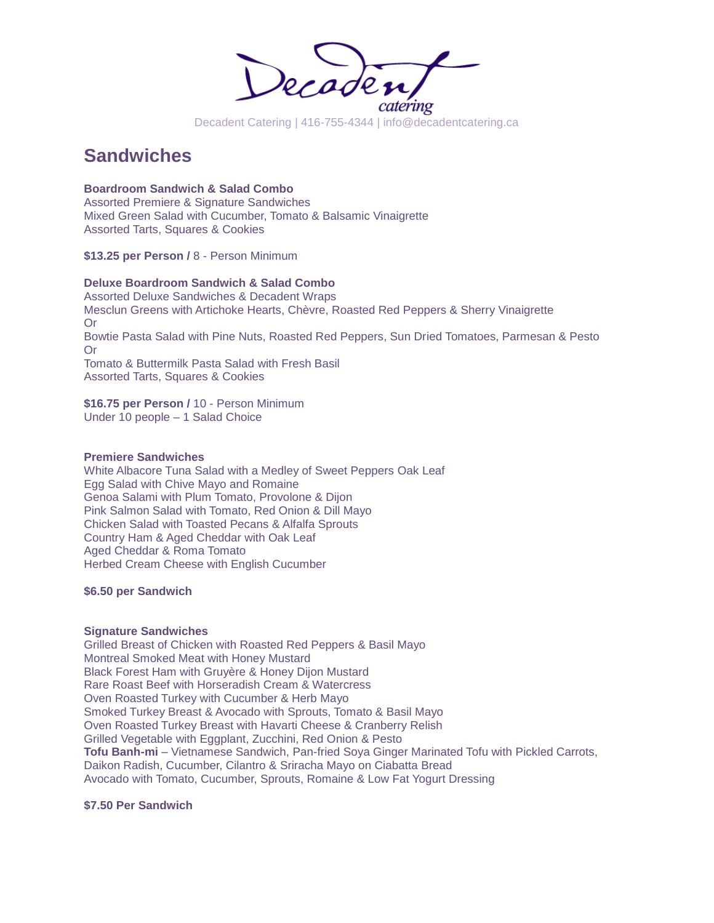

# **Sandwiches**

**Boardroom Sandwich & Salad Combo** Assorted Premiere & Signature Sandwiches

Mixed Green Salad with Cucumber, Tomato & Balsamic Vinaigrette Assorted Tarts, Squares & Cookies

**\$13.25 per Person /** 8 - Person Minimum

# **Deluxe Boardroom Sandwich & Salad Combo**

Assorted Deluxe Sandwiches & Decadent Wraps Mesclun Greens with Artichoke Hearts, Chèvre, Roasted Red Peppers & Sherry Vinaigrette Or Bowtie Pasta Salad with Pine Nuts, Roasted Red Peppers, Sun Dried Tomatoes, Parmesan & Pesto Or Tomato & Buttermilk Pasta Salad with Fresh Basil Assorted Tarts, Squares & Cookies

**\$16.75 per Person /** 10 - Person Minimum Under 10 people – 1 Salad Choice

## **Premiere Sandwiches**

White Albacore Tuna Salad with a Medley of Sweet Peppers Oak Leaf Egg Salad with Chive Mayo and Romaine Genoa Salami with Plum Tomato, Provolone & Dijon Pink Salmon Salad with Tomato, Red Onion & Dill Mayo Chicken Salad with Toasted Pecans & Alfalfa Sprouts Country Ham & Aged Cheddar with Oak Leaf Aged Cheddar & Roma Tomato Herbed Cream Cheese with English Cucumber

**\$6.50 per Sandwich**

#### **Signature Sandwiches**

Grilled Breast of Chicken with Roasted Red Peppers & Basil Mayo Montreal Smoked Meat with Honey Mustard Black Forest Ham with Gruyère & Honey Dijon Mustard Rare Roast Beef with Horseradish Cream & Watercress Oven Roasted Turkey with Cucumber & Herb Mayo Smoked Turkey Breast & Avocado with Sprouts, Tomato & Basil Mayo Oven Roasted Turkey Breast with Havarti Cheese & Cranberry Relish Grilled Vegetable with Eggplant, Zucchini, Red Onion & Pesto **Tofu Banh-mi** – Vietnamese Sandwich, Pan-fried Soya Ginger Marinated Tofu with Pickled Carrots, Daikon Radish, Cucumber, Cilantro & Sriracha Mayo on Ciabatta Bread Avocado with Tomato, Cucumber, Sprouts, Romaine & Low Fat Yogurt Dressing

# **\$7.50 Per Sandwich**